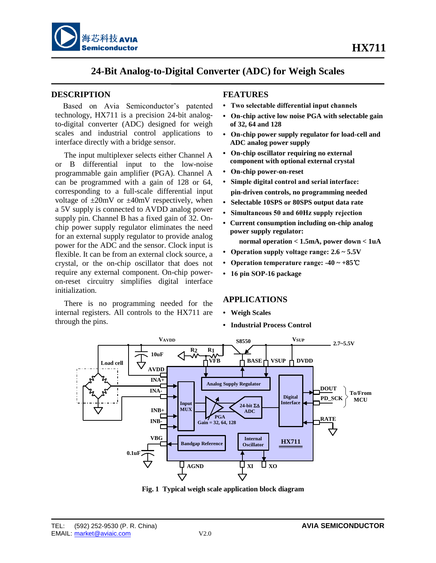



## **24-Bit Analog-to-Digital Converter (ADC) for Weigh Scales**

#### **DESCRIPTION**

Based on Avia Semiconductor's patented technology, HX711 is a precision 24-bit analogto-digital converter (ADC) designed for weigh scales and industrial control applications to interface directly with a bridge sensor.

The input multiplexer selects either Channel A or B differential input to the low-noise programmable gain amplifier (PGA). Channel A can be programmed with a gain of 128 or 64, corresponding to a full-scale differential input voltage of  $\pm 20$ mV or  $\pm 40$ mV respectively, when a 5V supply is connected to AVDD analog power supply pin. Channel B has a fixed gain of 32. Onchip power supply regulator eliminates the need for an external supply regulator to provide analog power for the ADC and the sensor. Clock input is flexible. It can be from an external clock source, a crystal, or the on-chip oscillator that does not require any external component. On-chip poweron-reset circuitry simplifies digital interface initialization.

There is no programming needed for the internal registers. All controls to the HX711 are through the pins.

#### **FEATURES**

- **Two selectable differential input channels**
- **On-chip active low noise PGA with selectable gain of 32, 64 and 128**
- **On-chip power supply regulator for load-cell and ADC analog power supply**
- **On-chip oscillator requiring no external component with optional external crystal**
- **On-chip power-on-reset**
- **Simple digital control and serial interface: pin-driven controls, no programming needed**
- **Selectable 10SPS or 80SPS output data rate**
- **Simultaneous 50 and 60Hz supply rejection**
- **• Current consumption including on-chip analog power supply regulator:**
	- **normal operation < 1.5mA, power down < 1uA**
- **Operation supply voltage range: 2.6 ~ 5.5V**
- **Operation temperature range: -40 ~ +85**℃
- **16 pin SOP-16 package**

#### **APPLICATIONS**

- **Weigh Scales**
- **Industrial Process Control**



**Fig. 1 Typical weigh scale application block diagram**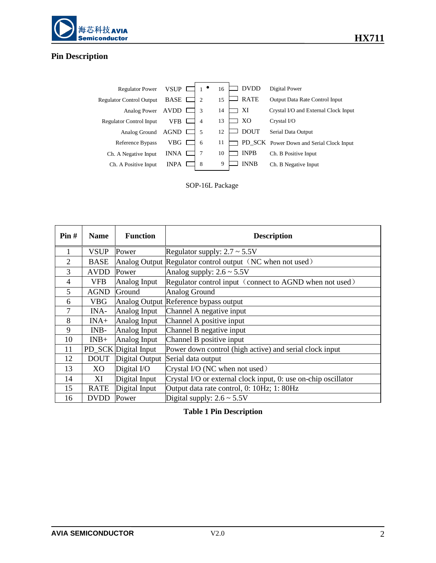

# **Pin Description**

| <b>Regulator Power</b>          | VSUP        |   | 16 | DVDD        | Digital Power                            |
|---------------------------------|-------------|---|----|-------------|------------------------------------------|
| <b>Regulator Control Output</b> | <b>BASE</b> | 2 | 15 | <b>RATE</b> | Output Data Rate Control Input           |
| Analog Power                    | AVDD        | 3 | 14 | XI          | Crystal I/O and External Clock Input     |
| <b>Regulator Control Input</b>  | VFB         | 4 | 13 | XО          | Crystal I/O                              |
| Analog Ground                   | AGND        | 5 | 12 | <b>DOUT</b> | Serial Data Output                       |
| Reference Bypass                | VBG         | 6 | 11 |             | PD_SCK Power Down and Serial Clock Input |
| Ch. A Negative Input            | <b>INNA</b> |   | 10 | <b>INPB</b> | Ch. B Positive Input                     |
| Ch. A Positive Input            | <b>INPA</b> | 8 | 9  | <b>INNB</b> | Ch. B Negative Input                     |
|                                 |             |   |    |             |                                          |

SOP-16L Package

| Pin#           | <b>Name</b> | <b>Function</b>      | <b>Description</b>                                             |
|----------------|-------------|----------------------|----------------------------------------------------------------|
|                | <b>VSUP</b> | Power                | Regulator supply: $2.7 \sim 5.5V$                              |
| 2              | <b>BASE</b> |                      | Analog Output Regulator control output (NC when not used)      |
| 3              | <b>AVDD</b> | Power                | Analog supply: $2.6 \sim 5.5V$                                 |
| $\overline{4}$ | <b>VFB</b>  | Analog Input         | Regulator control input (connect to AGND when not used)        |
| 5              | <b>AGND</b> | Ground               | <b>Analog Ground</b>                                           |
| 6              | VBG         |                      | Analog Output Reference bypass output                          |
| 7              | INA-        | Analog Input         | Channel A negative input                                       |
| 8              | $INA+$      | Analog Input         | Channel A positive input                                       |
| 9              | INB-        | Analog Input         | Channel B negative input                                       |
| 10             | $INB+$      | Analog Input         | Channel B positive input                                       |
| 11             |             | PD_SCK Digital Input | Power down control (high active) and serial clock input        |
| 12             | <b>DOUT</b> | Digital Output       | Serial data output                                             |
| 13             | XO          | Digital I/O          | Crystal I/O (NC when not used)                                 |
| 14             | ΧI          | Digital Input        | Crystal I/O or external clock input, 0: use on-chip oscillator |
| 15             | <b>RATE</b> | Digital Input        | Output data rate control, 0: 10Hz; 1: 80Hz                     |
| 16             | <b>DVDD</b> | Power                | Digital supply: $2.6 \sim 5.5V$                                |

**Table 1 Pin Description**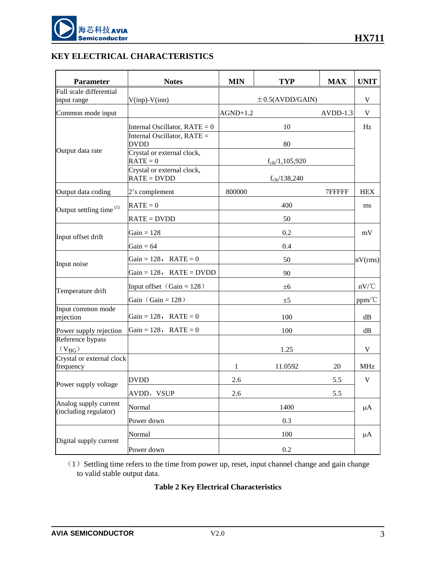

## **KEY ELECTRICAL CHARACTERISTICS**

| <b>Parameter</b>                               | <b>Notes</b>                                | <b>MIN</b> | <b>TYP</b>                   | <b>MAX</b> | <b>UNIT</b>                            |
|------------------------------------------------|---------------------------------------------|------------|------------------------------|------------|----------------------------------------|
| Full scale differential                        |                                             |            |                              |            |                                        |
| input range                                    | $V$ (inp)- $V$ (inn)                        |            | $\pm$ 0.5(AVDD/GAIN)         |            | $\mathbf V$                            |
| Common mode input                              |                                             | $AGND+1.2$ |                              | $AVDD-1.3$ | $\mathbf V$                            |
|                                                | Internal Oscillator, $RATE = 0$             |            | 10                           |            | Hz                                     |
|                                                | Internal Oscillator, RATE =<br><b>DVDD</b>  |            | 80                           |            |                                        |
| Output data rate                               | Crystal or external clock,<br>$RATE = 0$    |            | $f_{\text{clk}}/1, 105, 920$ |            |                                        |
|                                                | Crystal or external clock,<br>$RATE = DVDD$ |            | $f_{\text{clk}}/138,240$     |            |                                        |
| Output data coding                             | 2's complement                              | 800000     |                              | 7FFFFF     | <b>HEX</b>                             |
| Output settling time <sup>(1)</sup>            | $RATE = 0$                                  |            | 400                          |            | ms                                     |
|                                                | $RATE = DVDD$                               |            | 50                           |            |                                        |
| Input offset drift                             | Gain = $128$                                |            | 0.2                          |            | $\rm mV$                               |
|                                                | Gain = $64$                                 |            | 0.4                          |            |                                        |
| Input noise                                    | Gain = $128$ , RATE = 0                     | 50         |                              |            | nV(rms)                                |
|                                                | Gain = $128$ , RATE = DVDD                  |            | 90                           |            |                                        |
| Temperature drift                              | Input offset $(Gain = 128)$                 |            | ±6                           |            | $nV$ <sup><math>\circ</math></sup> $C$ |
|                                                | Gain $(Gain = 128)$                         |            | ±5                           |            | ppm/C                                  |
| Input common mode<br>rejection                 | Gain = $128$ , RATE = 0                     | 100        |                              |            | dB                                     |
| Power supply rejection                         | Gain = 128, RATE = 0                        | 100        |                              | dB         |                                        |
| Reference bypass<br>$(V_{BG})$                 |                                             |            | 1.25                         |            | V                                      |
| Crystal or external clock<br>frequency         |                                             | 1          | 11.0592                      | 20         | <b>MHz</b>                             |
|                                                | <b>DVDD</b>                                 | 2.6        |                              | 5.5        | $\mathbf V$                            |
| Power supply voltage                           | AVDD, VSUP                                  | 2.6        |                              | 5.5        |                                        |
| Analog supply current<br>(including regulator) | Normal                                      |            | 1400                         |            | $\mu A$                                |
|                                                | Power down                                  |            | 0.3                          |            |                                        |
| Digital supply current                         | Normal                                      | 100        |                              | $\mu A$    |                                        |
|                                                | Power down                                  |            | 0.2                          |            |                                        |

 $(1)$  Settling time refers to the time from power up, reset, input channel change and gain change to valid stable output data.

## **Table 2 Key Electrical Characteristics**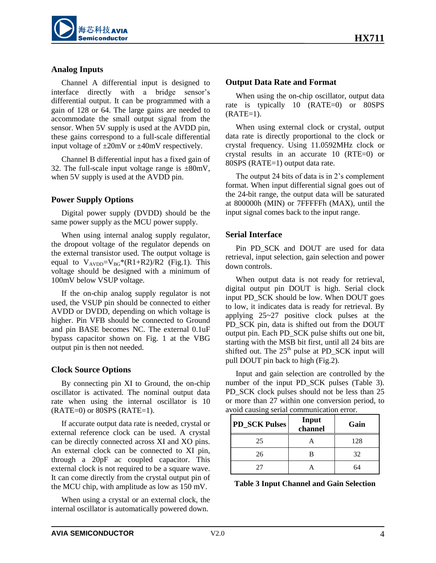

#### **Analog Inputs**

Channel A differential input is designed to interface directly with a bridge sensor's differential output. It can be programmed with a gain of 128 or 64. The large gains are needed to accommodate the small output signal from the sensor. When 5V supply is used at the AVDD pin, these gains correspond to a full-scale differential input voltage of ±20mV or ±40mV respectively.

Channel B differential input has a fixed gain of 32. The full-scale input voltage range is  $\pm 80$ mV, when 5V supply is used at the AVDD pin.

#### **Power Supply Options**

Digital power supply (DVDD) should be the same power supply as the MCU power supply.

When using internal analog supply regulator, the dropout voltage of the regulator depends on the external transistor used. The output voltage is equal to  $V_{AVDD} = V_{BG} * (R1 + R2)/R2$  (Fig.1). This voltage should be designed with a minimum of 100mV below VSUP voltage.

If the on-chip analog supply regulator is not used, the VSUP pin should be connected to either AVDD or DVDD, depending on which voltage is higher. Pin VFB should be connected to Ground and pin BASE becomes NC. The external 0.1uF bypass capacitor shown on Fig. 1 at the VBG output pin is then not needed.

#### **Clock Source Options**

By connecting pin XI to Ground, the on-chip oscillator is activated. The nominal output data rate when using the internal oscillator is 10  $(RATE=0)$  or 80SPS  $(RATE=1)$ .

If accurate output data rate is needed, crystal or external reference clock can be used. A crystal can be directly connected across XI and XO pins. An external clock can be connected to XI pin, through a 20pF ac coupled capacitor. This external clock is not required to be a square wave. It can come directly from the crystal output pin of the MCU chip, with amplitude as low as 150 mV.

When using a crystal or an external clock, the internal oscillator is automatically powered down.

#### **Output Data Rate and Format**

When using the on-chip oscillator, output data rate is typically 10 (RATE=0) or 80SPS  $(RATE=1)$ .

When using external clock or crystal, output data rate is directly proportional to the clock or crystal frequency. Using 11.0592MHz clock or crystal results in an accurate 10 (RTE=0) or 80SPS (RATE=1) output data rate.

The output 24 bits of data is in 2's complement format. When input differential signal goes out of the 24-bit range, the output data will be saturated at 800000h (MIN) or 7FFFFFh (MAX), until the input signal comes back to the input range.

#### **Serial Interface**

Pin PD SCK and DOUT are used for data retrieval, input selection, gain selection and power down controls.

When output data is not ready for retrieval, digital output pin DOUT is high. Serial clock input PD\_SCK should be low. When DOUT goes to low, it indicates data is ready for retrieval. By applying 25~27 positive clock pulses at the PD\_SCK pin, data is shifted out from the DOUT output pin. Each PD\_SCK pulse shifts out one bit, starting with the MSB bit first, until all 24 bits are shifted out. The  $25<sup>th</sup>$  pulse at PD\_SCK input will pull DOUT pin back to high (Fig.2).

Input and gain selection are controlled by the number of the input PD\_SCK pulses (Table 3). PD\_SCK clock pulses should not be less than 25 or more than 27 within one conversion period, to avoid causing serial communication error.

| <b>PD_SCK Pulses</b> | Input<br>channel | Gain |
|----------------------|------------------|------|
| 25                   |                  | 128  |
| 26                   |                  | 32   |
|                      |                  | 64   |

|  |  | <b>Table 3 Input Channel and Gain Selection</b> |
|--|--|-------------------------------------------------|
|--|--|-------------------------------------------------|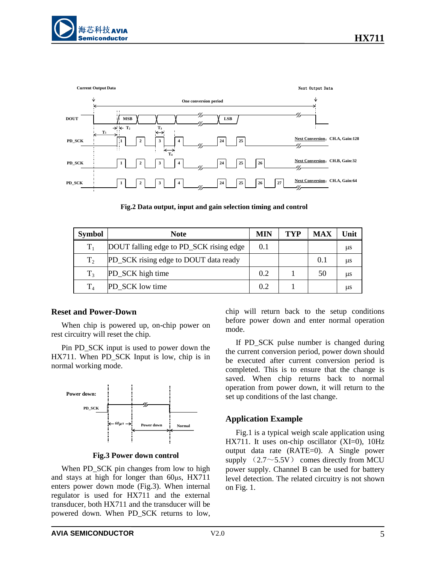

**Fig.2 Data output, input and gain selection timing and control**

| <b>Symbol</b>  | <b>Note</b>                             | MIN | TYP | MAX | Unit      |
|----------------|-----------------------------------------|-----|-----|-----|-----------|
| $T_1$          | DOUT falling edge to PD_SCK rising edge | 0.1 |     |     | us        |
| $T_{2}$        | PD_SCK rising edge to DOUT data ready   |     |     | 0.1 | <b>us</b> |
| $T_3$          | PD_SCK high time                        | 0.2 |     | 50  | <b>us</b> |
| T <sub>4</sub> | PD SCK low time                         | 02  |     |     | us        |

#### **Reset and Power-Down**

When chip is powered up, on-chip power on rest circuitry will reset the chip.

Pin PD\_SCK input is used to power down the HX711. When PD SCK Input is low, chip is in normal working mode.



**Fig.3 Power down control**

When PD\_SCK pin changes from low to high and stays at high for longer than  $60\mu s$ , HX711 enters power down mode (Fig.3). When internal regulator is used for HX711 and the external transducer, both HX711 and the transducer will be powered down. When PD\_SCK returns to low,

chip will return back to the setup conditions before power down and enter normal operation mode.

If PD\_SCK pulse number is changed during the current conversion period, power down should be executed after current conversion period is completed. This is to ensure that the change is saved. When chip returns back to normal operation from power down, it will return to the set up conditions of the last change.

#### **Application Example**

Fig.1 is a typical weigh scale application using HX711. It uses on-chip oscillator (XI=0), 10Hz output data rate (RATE=0). A Single power supply  $(2.7 \sim 5.5 V)$  comes directly from MCU power supply. Channel B can be used for battery level detection. The related circuitry is not shown on Fig. 1.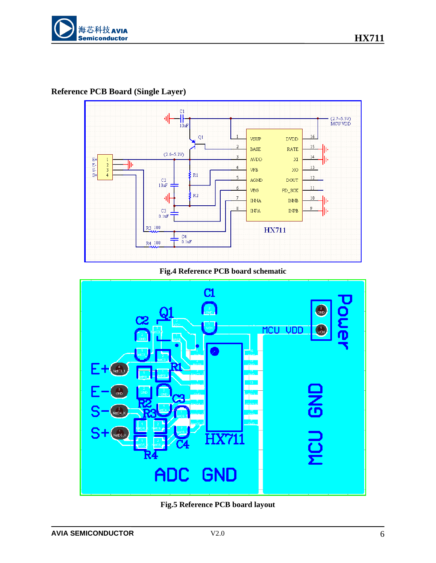

**Reference PCB Board (Single Layer)**



#### **Fig.4 Reference PCB board schematic**



**Fig.5 Reference PCB board layout**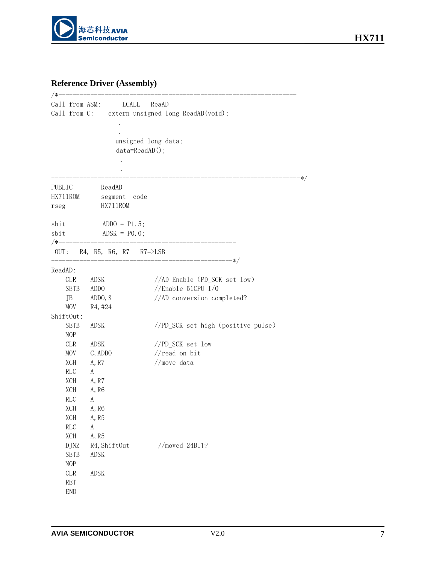

# **Reference Driver (Assembly)**

| /∗                          | Call from ASM: LCALL ReaAD                                      | Call from C: extern unsigned long ReadAD(void); |
|-----------------------------|-----------------------------------------------------------------|-------------------------------------------------|
|                             | unsigned long data;<br>data=ReadAD();                           |                                                 |
| PUBLIC                      | ReadAD                                                          | $\ast/$                                         |
| HX711ROM<br>rseg            | segment code<br>HX711ROM                                        |                                                 |
| sbit<br>sbit                | ADDO = $P1.5$ ;<br>$ADSK = PO. 0;$<br>/*----------------------- | ____________________                            |
|                             | OUT: R4, R5, R6, R7 $R7 = >$ LSB                                |                                                 |
| ReadAD:                     |                                                                 |                                                 |
| <b>CLR</b>                  | ADSK                                                            | //AD Enable (PD_SCK set low)                    |
| <b>SETB</b>                 | ADD <sub>O</sub>                                                | //Enable 51CPU $I/0$                            |
| JB<br>MOV                   | ADDO, $$$<br>R <sub>4</sub> , #24                               | //AD conversion completed?                      |
| ShiftOut:                   |                                                                 |                                                 |
| <b>SETB</b><br>NOP          | ADSK                                                            | //PD_SCK set high (positive pulse)              |
| <b>CLR</b>                  | <b>ADSK</b>                                                     | //PD_SCK set low                                |
| MOV                         | C, ADDO                                                         | $//$ read on bit                                |
| XCH                         | A, R7                                                           | //move data                                     |
| RLC                         | $\mathbf{A}$                                                    |                                                 |
| XCH                         | A, R7                                                           |                                                 |
| XCH                         | A, R6                                                           |                                                 |
| RLC                         | A                                                               |                                                 |
| <b>XCH</b>                  | A, R6                                                           |                                                 |
| XCH                         | A, R5                                                           |                                                 |
| RLC                         | A                                                               |                                                 |
| XCH                         | A, R5                                                           |                                                 |
| <b>DJNZ</b>                 | R4, ShiftOut                                                    | $//$ moved 24BIT?                               |
| <b>SETB</b><br>NOP          | <b>ADSK</b>                                                     |                                                 |
| CLR                         | <b>ADSK</b>                                                     |                                                 |
| <b>RET</b>                  |                                                                 |                                                 |
|                             |                                                                 |                                                 |
| $\ensuremath{\mathrm{END}}$ |                                                                 |                                                 |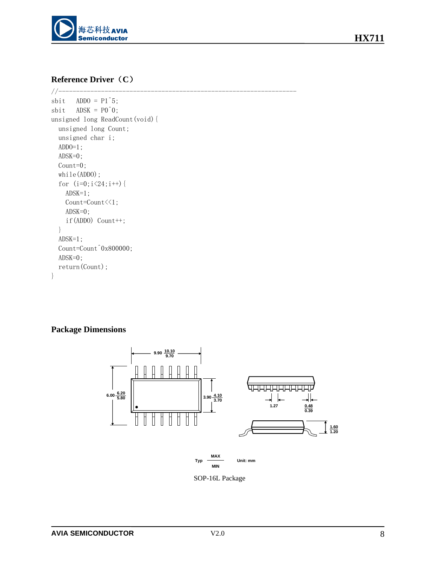

## **Reference Driver**(**C**)

```
//-------------------------------------------------------------------
sbit ADD0 = P1^5;sbit \triangle ADSK = P0^{\circ}0;
unsigned long ReadCount(void){
  unsigned long Count;
  unsigned char i;
  ADDO=1;
  ADSK=0;
  Count=0;
   while(ADDO);
  for (i=0; i<24; i++) {
     ADSK=1;
     Count=Count<<1;
     ADSK=0;
     if(ADDO) Count++;
   }
   ADSK=1;
   Count=Count^0x800000; 
   ADSK=0;
   return(Count);
}
```
## **Package Dimensions**